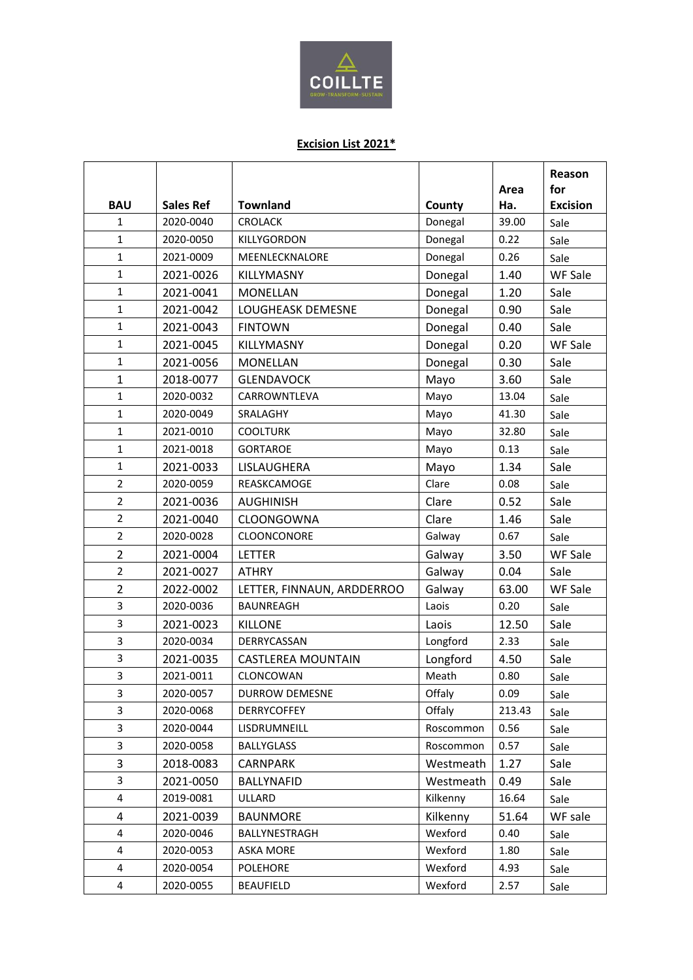

## **Excision List 2021\***

|                |                  |                            |           |        | Reason          |
|----------------|------------------|----------------------------|-----------|--------|-----------------|
|                |                  |                            |           | Area   | for             |
| <b>BAU</b>     | <b>Sales Ref</b> | <b>Townland</b>            | County    | Ha.    | <b>Excision</b> |
| $\mathbf{1}$   | 2020-0040        | <b>CROLACK</b>             | Donegal   | 39.00  | Sale            |
| $\mathbf{1}$   | 2020-0050        | KILLYGORDON                | Donegal   | 0.22   | Sale            |
| $\mathbf{1}$   | 2021-0009        | MEENLECKNALORE             | Donegal   | 0.26   | Sale            |
| $\mathbf{1}$   | 2021-0026        | KILLYMASNY                 | Donegal   | 1.40   | WF Sale         |
| $\mathbf{1}$   | 2021-0041        | <b>MONELLAN</b>            | Donegal   | 1.20   | Sale            |
| $\mathbf{1}$   | 2021-0042        | LOUGHEASK DEMESNE          | Donegal   | 0.90   | Sale            |
| $\mathbf{1}$   | 2021-0043        | <b>FINTOWN</b>             | Donegal   | 0.40   | Sale            |
| $\mathbf{1}$   | 2021-0045        | KILLYMASNY                 | Donegal   | 0.20   | WF Sale         |
| $\mathbf{1}$   | 2021-0056        | <b>MONELLAN</b>            | Donegal   | 0.30   | Sale            |
| $\mathbf{1}$   | 2018-0077        | <b>GLENDAVOCK</b>          | Mayo      | 3.60   | Sale            |
| $\mathbf{1}$   | 2020-0032        | CARROWNTLEVA               | Mayo      | 13.04  | Sale            |
| $\mathbf{1}$   | 2020-0049        | SRALAGHY                   | Mayo      | 41.30  | Sale            |
| $\mathbf{1}$   | 2021-0010        | <b>COOLTURK</b>            | Mayo      | 32.80  | Sale            |
| $\mathbf{1}$   | 2021-0018        | <b>GORTAROE</b>            | Mayo      | 0.13   | Sale            |
| $\mathbf{1}$   | 2021-0033        | LISLAUGHERA                | Mayo      | 1.34   | Sale            |
| $\overline{2}$ | 2020-0059        | REASKCAMOGE                | Clare     | 0.08   | Sale            |
| $\overline{2}$ | 2021-0036        | <b>AUGHINISH</b>           | Clare     | 0.52   | Sale            |
| $\overline{2}$ | 2021-0040        | CLOONGOWNA                 | Clare     | 1.46   | Sale            |
| $\overline{2}$ | 2020-0028        | CLOONCONORE                | Galway    | 0.67   | Sale            |
| $\overline{2}$ | 2021-0004        | <b>LETTER</b>              | Galway    | 3.50   | WF Sale         |
| $\overline{2}$ | 2021-0027        | <b>ATHRY</b>               | Galway    | 0.04   | Sale            |
| $\overline{2}$ | 2022-0002        | LETTER, FINNAUN, ARDDERROO | Galway    | 63.00  | WF Sale         |
| 3              | 2020-0036        | <b>BAUNREAGH</b>           | Laois     | 0.20   | Sale            |
| 3              | 2021-0023        | <b>KILLONE</b>             | Laois     | 12.50  | Sale            |
| 3              | 2020-0034        | DERRYCASSAN                | Longford  | 2.33   | Sale            |
| 3              | 2021-0035        | <b>CASTLEREA MOUNTAIN</b>  | Longford  | 4.50   | Sale            |
| 3              | 2021-0011        | CLONCOWAN                  | Meath     | 0.80   | Sale            |
| 3              | 2020-0057        | <b>DURROW DEMESNE</b>      | Offaly    | 0.09   | Sale            |
| 3              | 2020-0068        | <b>DERRYCOFFEY</b>         | Offaly    | 213.43 | Sale            |
| 3              | 2020-0044        | LISDRUMNEILL               | Roscommon | 0.56   | Sale            |
| 3              | 2020-0058        | <b>BALLYGLASS</b>          | Roscommon | 0.57   | Sale            |
| 3              | 2018-0083        | <b>CARNPARK</b>            | Westmeath | 1.27   | Sale            |
| 3              | 2021-0050        | <b>BALLYNAFID</b>          | Westmeath | 0.49   | Sale            |
| 4              | 2019-0081        | ULLARD                     | Kilkenny  | 16.64  | Sale            |
| 4              | 2021-0039        | <b>BAUNMORE</b>            | Kilkenny  | 51.64  | WF sale         |
| 4              | 2020-0046        | BALLYNESTRAGH              | Wexford   | 0.40   | Sale            |
| 4              | 2020-0053        | <b>ASKA MORE</b>           | Wexford   | 1.80   | Sale            |
| 4              | 2020-0054        | POLEHORE                   | Wexford   | 4.93   | Sale            |
| 4              | 2020-0055        | <b>BEAUFIELD</b>           | Wexford   | 2.57   | Sale            |